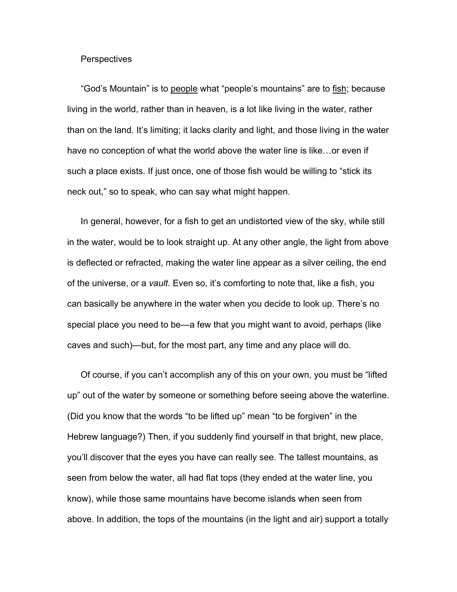## **Perspectives**

"God's Mountain" is to people what "people's mountains" are to fish; because living in the world, rather than in heaven, is a lot like living in the water, rather than on the land. It's limiting; it lacks clarity and light, and those living in the water have no conception of what the world above the water line is like…or even if such a place exists. If just once, one of those fish would be willing to "stick its neck out," so to speak, who can say what might happen.

In general, however, for a fish to get an undistorted view of the sky, while still in the water, would be to look straight up. At any other angle, the light from above is deflected or refracted, making the water line appear as a silver ceiling, the end of the universe, or a *vault*. Even so, it's comforting to note that, like a fish, you can basically be anywhere in the water when you decide to look up. There's no special place you need to be—a few that you might want to avoid, perhaps (like caves and such)—but, for the most part, any time and any place will do.

Of course, if you can't accomplish any of this on your own, you must be "lifted up" out of the water by someone or something before seeing above the waterline. (Did you know that the words "to be lifted up" mean "to be forgiven" in the Hebrew language?) Then, if you suddenly find yourself in that bright, new place, you'll discover that the eyes you have can really see. The tallest mountains, as seen from below the water, all had flat tops (they ended at the water line, you know), while those same mountains have become islands when seen from above. In addition, the tops of the mountains (in the light and air) support a totally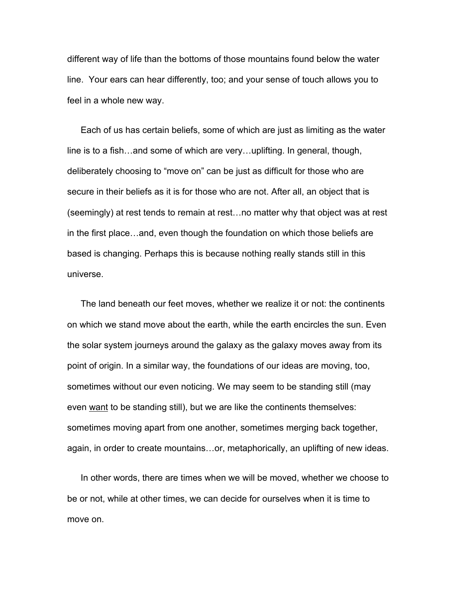different way of life than the bottoms of those mountains found below the water line. Your ears can hear differently, too; and your sense of touch allows you to feel in a whole new way.

Each of us has certain beliefs, some of which are just as limiting as the water line is to a fish…and some of which are very…uplifting. In general, though, deliberately choosing to "move on" can be just as difficult for those who are secure in their beliefs as it is for those who are not. After all, an object that is (seemingly) at rest tends to remain at rest…no matter why that object was at rest in the first place…and, even though the foundation on which those beliefs are based is changing. Perhaps this is because nothing really stands still in this universe.

The land beneath our feet moves, whether we realize it or not: the continents on which we stand move about the earth, while the earth encircles the sun. Even the solar system journeys around the galaxy as the galaxy moves away from its point of origin. In a similar way, the foundations of our ideas are moving, too, sometimes without our even noticing. We may seem to be standing still (may even want to be standing still), but we are like the continents themselves: sometimes moving apart from one another, sometimes merging back together, again, in order to create mountains…or, metaphorically, an uplifting of new ideas.

In other words, there are times when we will be moved, whether we choose to be or not, while at other times, we can decide for ourselves when it is time to move on.